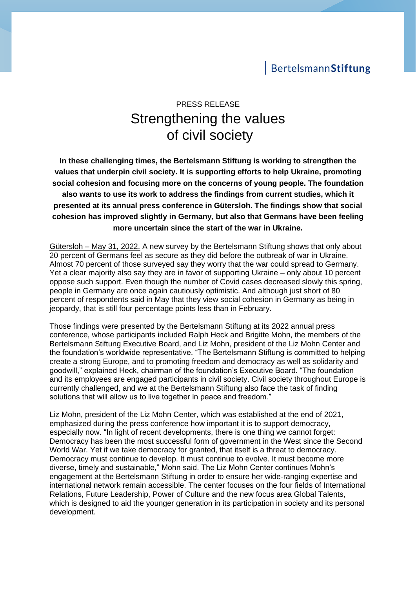## BertelsmannStiftung

# PRESS RELEASE Strengthening the values of civil society

**In these challenging times, the Bertelsmann Stiftung is working to strengthen the values that underpin civil society. It is supporting efforts to help Ukraine, promoting social cohesion and focusing more on the concerns of young people. The foundation also wants to use its work to address the findings from current studies, which it presented at its annual press conference in Gütersloh. The findings show that social cohesion has improved slightly in Germany, but also that Germans have been feeling more uncertain since the start of the war in Ukraine.** 

Gütersloh – May 31, 2022. A new survey by the Bertelsmann Stiftung shows that only about 20 percent of Germans feel as secure as they did before the outbreak of war in Ukraine. Almost 70 percent of those surveyed say they worry that the war could spread to Germany. Yet a clear majority also say they are in favor of supporting Ukraine – only about 10 percent oppose such support. Even though the number of Covid cases decreased slowly this spring, people in Germany are once again cautiously optimistic. And although just short of 80 percent of respondents said in May that they view social cohesion in Germany as being in jeopardy, that is still four percentage points less than in February.

Those findings were presented by the Bertelsmann Stiftung at its 2022 annual press conference, whose participants included Ralph Heck and Brigitte Mohn, the members of the Bertelsmann Stiftung Executive Board, and Liz Mohn, president of the Liz Mohn Center and the foundation's worldwide representative. "The Bertelsmann Stiftung is committed to helping create a strong Europe, and to promoting freedom and democracy as well as solidarity and goodwill," explained Heck, chairman of the foundation's Executive Board. "The foundation and its employees are engaged participants in civil society. Civil society throughout Europe is currently challenged, and we at the Bertelsmann Stiftung also face the task of finding solutions that will allow us to live together in peace and freedom."

Liz Mohn, president of the Liz Mohn Center, which was established at the end of 2021, emphasized during the press conference how important it is to support democracy, especially now. "In light of recent developments, there is one thing we cannot forget: Democracy has been the most successful form of government in the West since the Second World War. Yet if we take democracy for granted, that itself is a threat to democracy. Democracy must continue to develop. It must continue to evolve. It must become more diverse, timely and sustainable," Mohn said. The Liz Mohn Center continues Mohn's engagement at the Bertelsmann Stiftung in order to ensure her wide-ranging expertise and international network remain accessible. The center focuses on the four fields of International Relations, Future Leadership, Power of Culture and the new focus area Global Talents, which is designed to aid the younger generation in its participation in society and its personal development.